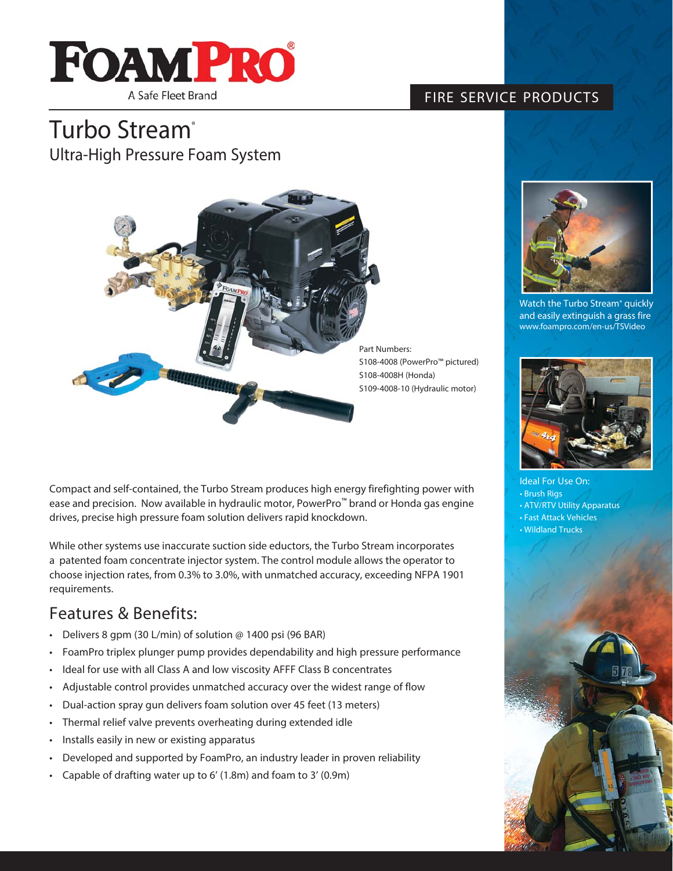

### FIRE SERVICE PRODUCTS

## Turbo Stream<sup>®</sup> Ultra-High Pressure Foam System



Part Numbers: S108-4008 (PowerPro™ pictured) S108-4008H (Honda) S109-4008-10 (Hydraulic motor)

Compact and self-contained, the Turbo Stream produces high energy firefighting power with ease and precision. Now available in hydraulic motor, PowerPro™ brand or Honda gas engine drives, precise high pressure foam solution delivers rapid knockdown.

While other systems use inaccurate suction side eductors, the Turbo Stream incorporates a patented foam concentrate injector system. The control module allows the operator to choose injection rates, from 0.3% to 3.0%, with unmatched accuracy, exceeding NFPA 1901 requirements.

### Features & Benefits:

- Delivers 8 gpm (30 L/min) of solution @ 1400 psi (96 BAR)
- FoamPro triplex plunger pump provides dependability and high pressure performance
- Ideal for use with all Class A and low viscosity AFFF Class B concentrates
- Adjustable control provides unmatched accuracy over the widest range of flow
- Dual-action spray gun delivers foam solution over 45 feet (13 meters)
- Thermal relief valve prevents overheating during extended idle
- Installs easily in new or existing apparatus
- Developed and supported by FoamPro, an industry leader in proven reliability
- Capable of drafting water up to 6' (1.8m) and foam to 3' (0.9m)



Watch the Turbo Stream® quickly and easily extinguish a grass fire www.foampro.com/en-us/TSVideo



Ideal For Use On: • Brush Rigs • ATV/RTV Utility Apparatus • Fast Attack Vehicles • Wildland Trucks